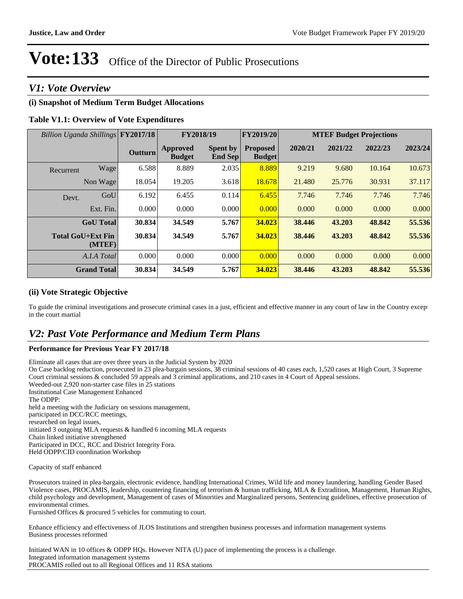### *V1: Vote Overview*

#### **(i) Snapshot of Medium Term Budget Allocations**

#### **Table V1.1: Overview of Vote Expenditures**

|           | Billion Uganda Shillings FY2017/18 |                |                                  |                                   | FY2018/19                        |         |         |         | FY2019/20 |  |  | <b>MTEF Budget Projections</b> |  |
|-----------|------------------------------------|----------------|----------------------------------|-----------------------------------|----------------------------------|---------|---------|---------|-----------|--|--|--------------------------------|--|
|           |                                    | <b>Outturn</b> | <b>Approved</b><br><b>Budget</b> | <b>Spent by</b><br><b>End Sep</b> | <b>Proposed</b><br><b>Budget</b> | 2020/21 | 2021/22 | 2022/23 | 2023/24   |  |  |                                |  |
| Recurrent | Wage                               | 6.588          | 8.889                            | 2.035                             | 8.889                            | 9.219   | 9.680   | 10.164  | 10.673    |  |  |                                |  |
|           | Non Wage                           | 18.054         | 19.205                           | 3.618                             | 18.678                           | 21.480  | 25.776  | 30.931  | 37.117    |  |  |                                |  |
| Devt.     | GoU                                | 6.192          | 6.455                            | 0.114                             | 6.455                            | 7.746   | 7.746   | 7.746   | 7.746     |  |  |                                |  |
|           | Ext. Fin.                          | 0.000          | 0.000                            | 0.000                             | 0.000                            | 0.000   | 0.000   | 0.000   | 0.000     |  |  |                                |  |
|           | <b>GoU</b> Total                   | 30.834         | 34.549                           | 5.767                             | 34.023                           | 38.446  | 43.203  | 48.842  | 55.536    |  |  |                                |  |
|           | <b>Total GoU+Ext Fin</b><br>(MTEF) | 30.834         | 34.549                           | 5.767                             | 34.023                           | 38.446  | 43.203  | 48.842  | 55.536    |  |  |                                |  |
|           | A.I.A Total                        | 0.000          | 0.000                            | 0.000                             | 0.000                            | 0.000   | 0.000   | 0.000   | 0.000     |  |  |                                |  |
|           | <b>Grand Total</b>                 | 30.834         | 34.549                           | 5.767                             | 34.023                           | 38.446  | 43.203  | 48.842  | 55.536    |  |  |                                |  |

#### **(ii) Vote Strategic Objective**

To guide the criminal investigations and prosecute criminal cases in a just, efficient and effective manner in any court of law in the Country excep in the court martial

### *V2: Past Vote Performance and Medium Term Plans*

#### **Performance for Previous Year FY 2017/18**

Eliminate all cases that are over three years in the Judicial System by 2020 On Case backlog reduction, prosecuted in 23 plea-bargain sessions, 38 criminal sessions of 40 cases each, 1,520 cases at High Court, 3 Supreme Court criminal sessions & concluded 59 appeals and 3 criminal applications, and 210 cases in 4 Court of Appeal sessions. Weeded-out 2,920 non-starter case files in 25 stations Institutional Case Management Enhanced The ODPP: held a meeting with the Judiciary on sessions management, participated in DCC/RCC meetings, researched on legal issues, initiated 3 outgoing MLA requests & handled 6 incoming MLA requests Chain linked initiative strengthened Participated in DCC, RCC and District Integrity Fora. Held ODPP/CID coordination Workshop

Capacity of staff enhanced

Prosecutors trained in plea-bargain, electronic evidence, handling International Crimes, Wild life and money laundering, handling Gender Based Violence cases, PROCAMIS, leadership, countering financing of terrorism & human trafficking, MLA & Extradition, Management, Human Rights, child psychology and development, Management of cases of Minorities and Marginalized persons, Sentencing guidelines, effective prosecution of environmental crimes.

Furnished Offices & procured 5 vehicles for commuting to court.

Enhance efficiency and effectiveness of JLOS Institutions and strengthen business processes and information management systems Business processes reformed

Initiated WAN in 10 offices & ODPP HQs. However NITA (U) pace of implementing the process is a challenge. Integrated information management systems PROCAMIS rolled out to all Regional Offices and 11 RSA stations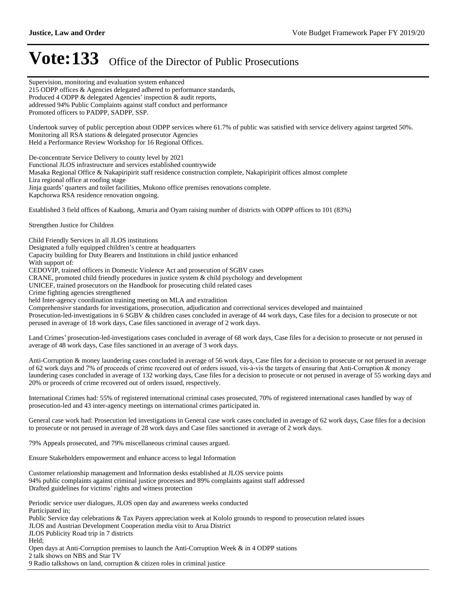Supervision, monitoring and evaluation system enhanced

## **Vote: 133** Office of the Director of Public Prosecutions

215 ODPP offices & Agencies delegated adhered to performance standards, Produced 4 ODPP  $&$  delegated Agencies' inspection  $&$  audit reports, addressed 94% Public Complaints against staff conduct and performance Promoted officers to PADPP, SADPP, SSP. Undertook survey of public perception about ODPP services where 61.7% of public was satisfied with service delivery against targeted 50%. Monitoring all RSA stations & delegated prosecutor Agencies Held a Performance Review Workshop for 16 Regional Offices. De-concentrate Service Delivery to county level by 2021 Functional JLOS infrastructure and services established countrywide Masaka Regional Office & Nakapiripirit staff residence construction complete, Nakapiripirit offices almost complete Lira regional office at roofing stage Jinja guards' quarters and toilet facilities, Mukono office premises renovations complete. Kapchorwa RSA residence renovation ongoing. Established 3 field offices of Kaabong, Amuria and Oyam raising number of districts with ODPP offices to 101 (83%) Strengthen Justice for Children Child Friendly Services in all JLOS institutions Designated a fully equipped children's centre at headquarters Capacity building for Duty Bearers and Institutions in child justice enhanced With support of: CEDOVIP, trained officers in Domestic Violence Act and prosecution of SGBV cases CRANE, promoted child friendly procedures in justice system & child psychology and development UNICEF, trained prosecutors on the Handbook for prosecuting child related cases Crime fighting agencies strengthened held Inter-agency coordination training meeting on MLA and extradition Comprehensive standards for investigations, prosecution, adjudication and correctional services developed and maintained Prosecution-led-investigations in 6 SGBV & children cases concluded in average of 44 work days, Case files for a decision to prosecute or not perused in average of 18 work days, Case files sanctioned in average of 2 work days. Land Crimes' prosecution-led-investigations cases concluded in average of 68 work days, Case files for a decision to prosecute or not perused in average of 48 work days, Case files sanctioned in an average of 3 work days. Anti-Corruption & money laundering cases concluded in average of 56 work days, Case files for a decision to prosecute or not perused in average of 62 work days and 7% of proceeds of crime recovered out of orders issued, vis-à-vis the targets of ensuring that Anti-Corruption & money laundering cases concluded in average of 132 working days, Case files for a decision to prosecute or not perused in average of 55 working days and 20% or proceeds of crime recovered out of orders issued, respectively. International Crimes had: 55% of registered international criminal cases prosecuted, 70% of registered international cases handled by way of prosecution-led and 43 inter-agency meetings on international crimes participated in. General case work had: Prosecution led investigations in General case work cases concluded in average of 62 work days, Case files for a decision to prosecute or not perused in average of 28 work days and Case files sanctioned in average of 2 work days. 79% Appeals prosecuted, and 79% miscellaneous criminal causes argued. Ensure Stakeholders empowerment and enhance access to legal Information Customer relationship management and Information desks established at JLOS service points 94% public complaints against criminal justice processes and 89% complaints against staff addressed Drafted guidelines for victims' rights and witness protection Periodic service user dialogues, JLOS open day and awareness weeks conducted Participated in; Public Service day celebrations & Tax Payers appreciation week at Kololo grounds to respond to prosecution related issues JLOS and Austrian Development Cooperation media visit to Arua District JLOS Publicity Road trip in 7 districts Held; Open days at Anti-Corruption premises to launch the Anti-Corruption Week & in 4 ODPP stations 2 talk shows on NBS and Star TV 9 Radio talkshows on land, corruption & citizen roles in criminal justice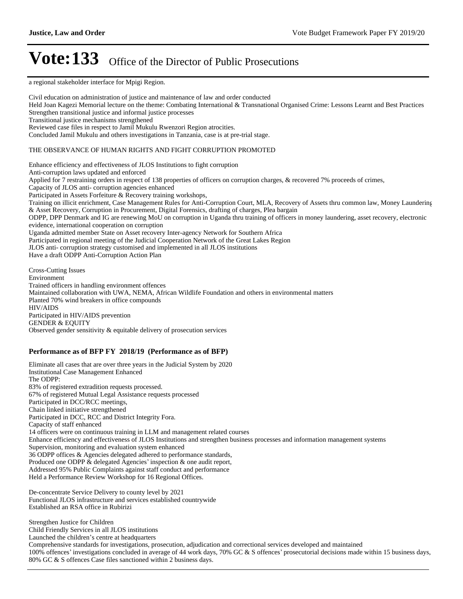a regional stakeholder interface for Mpigi Region.

Civil education on administration of justice and maintenance of law and order conducted Held Joan Kagezi Memorial lecture on the theme: Combating International & Transnational Organised Crime: Lessons Learnt and Best Practices Strengthen transitional justice and informal justice processes Transitional justice mechanisms strengthened Reviewed case files in respect to Jamil Mukulu Rwenzori Region atrocities. Concluded Jamil Mukulu and others investigations in Tanzania, case is at pre-trial stage. THE OBSERVANCE OF HUMAN RIGHTS AND FIGHT CORRUPTION PROMOTED Enhance efficiency and effectiveness of JLOS Institutions to fight corruption Anti-corruption laws updated and enforced Applied for 7 restraining orders in respect of 138 properties of officers on corruption charges, & recovered 7% proceeds of crimes, Capacity of JLOS anti- corruption agencies enhanced Participated in Assets Forfeiture & Recovery training workshops, Training on illicit enrichment, Case Management Rules for Anti-Corruption Court, MLA, Recovery of Assets thru common law, Money Laundering & Asset Recovery, Corruption in Procurement, Digital Forensics, drafting of charges, Plea bargain ODPP, DPP Denmark and IG are renewing MoU on corruption in Uganda thru training of officers in money laundering, asset recovery, electronic evidence, international cooperation on corruption Uganda admitted member State on Asset recovery Inter-agency Network for Southern Africa Participated in regional meeting of the Judicial Cooperation Network of the Great Lakes Region JLOS anti- corruption strategy customised and implemented in all JLOS institutions Have a draft ODPP Anti-Corruption Action Plan Cross-Cutting Issues Environment Trained officers in handling environment offences Maintained collaboration with UWA, NEMA, African Wildlife Foundation and others in environmental matters Planted 70% wind breakers in office compounds

HIV/AIDS Participated in HIV/AIDS prevention GENDER & EQUITY Observed gender sensitivity & equitable delivery of prosecution services

#### **Performance as of BFP FY 2018/19 (Performance as of BFP)**

Eliminate all cases that are over three years in the Judicial System by 2020 Institutional Case Management Enhanced The ODPP: 83% of registered extradition requests processed. 67% of registered Mutual Legal Assistance requests processed Participated in DCC/RCC meetings, Chain linked initiative strengthened Participated in DCC, RCC and District Integrity Fora. Capacity of staff enhanced 14 officers were on continuous training in LLM and management related courses Enhance efficiency and effectiveness of JLOS Institutions and strengthen business processes and information management systems Supervision, monitoring and evaluation system enhanced 36 ODPP offices & Agencies delegated adhered to performance standards, Produced one ODPP  $&$  delegated Agencies' inspection  $&$  one audit report, Addressed 95% Public Complaints against staff conduct and performance Held a Performance Review Workshop for 16 Regional Offices.

De-concentrate Service Delivery to county level by 2021 Functional JLOS infrastructure and services established countrywide Established an RSA office in Rubirizi

Strengthen Justice for Children Child Friendly Services in all JLOS institutions Launched the children's centre at headquarters Comprehensive standards for investigations, prosecution, adjudication and correctional services developed and maintained 100% offences' investigations concluded in average of 44 work days, 70% GC & S offences' prosecutorial decisions made within 15 business days, 80% GC & S offences Case files sanctioned within 2 business days.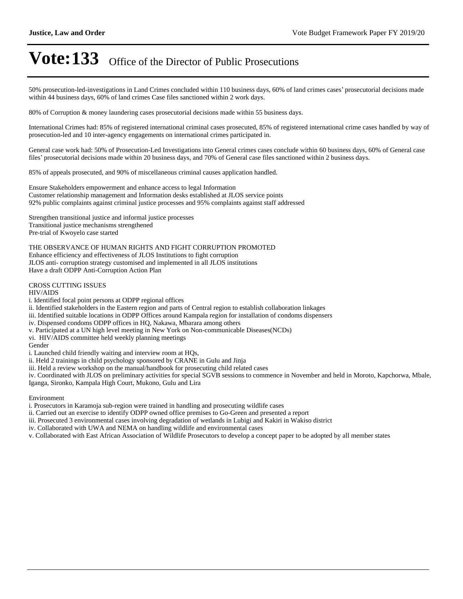50% prosecution-led-investigations in Land Crimes concluded within 110 business days, 60% of land crimes cases' prosecutorial decisions made within 44 business days, 60% of land crimes Case files sanctioned within 2 work days.

80% of Corruption & money laundering cases prosecutorial decisions made within 55 business days.

International Crimes had: 85% of registered international criminal cases prosecuted, 85% of registered international crime cases handled by way of prosecution-led and 10 inter-agency engagements on international crimes participated in.

General case work had: 50% of Prosecution-Led Investigations into General crimes cases conclude within 60 business days, 60% of General case files' prosecutorial decisions made within 20 business days, and 70% of General case files sanctioned within 2 business days.

85% of appeals prosecuted, and 90% of miscellaneous criminal causes application handled.

Ensure Stakeholders empowerment and enhance access to legal Information Customer relationship management and Information desks established at JLOS service points 92% public complaints against criminal justice processes and 95% complaints against staff addressed

Strengthen transitional justice and informal justice processes Transitional justice mechanisms strengthened Pre-trial of Kwoyelo case started

THE OBSERVANCE OF HUMAN RIGHTS AND FIGHT CORRUPTION PROMOTED Enhance efficiency and effectiveness of JLOS Institutions to fight corruption JLOS anti- corruption strategy customised and implemented in all JLOS institutions Have a draft ODPP Anti-Corruption Action Plan

CROSS CUTTING ISSUES

HIV/AIDS

i. Identified focal point persons at ODPP regional offices

ii. Identified stakeholders in the Eastern region and parts of Central region to establish collaboration linkages

iii. Identified suitable locations in ODPP Offices around Kampala region for installation of condoms dispensers

iv. Dispensed condoms ODPP offices in HQ, Nakawa, Mbarara among others

v. Participated at a UN high level meeting in New York on Non-communicable Diseases(NCDs)

vi. HIV/AIDS committee held weekly planning meetings

Gender

i. Launched child friendly waiting and interview room at HQs,

ii. Held 2 trainings in child psychology sponsored by CRANE in Gulu and Jinja

iii. Held a review workshop on the manual/handbook for prosecuting child related cases

iv. Coordinated with JLOS on preliminary activities for special SGVB sessions to commence in November and held in Moroto, Kapchorwa, Mbale, Iganga, Sironko, Kampala High Court, Mukono, Gulu and Lira

Environment

i. Prosecutors in Karamoja sub-region were trained in handling and prosecuting wildlife cases

ii. Carried out an exercise to identify ODPP owned office premises to Go-Green and presented a report

iii. Prosecuted 3 environmental cases involving degradation of wetlands in Lubigi and Kakiri in Wakiso district

iv. Collaborated with UWA and NEMA on handling wildlife and environmental cases

v. Collaborated with East African Association of Wildlife Prosecutors to develop a concept paper to be adopted by all member states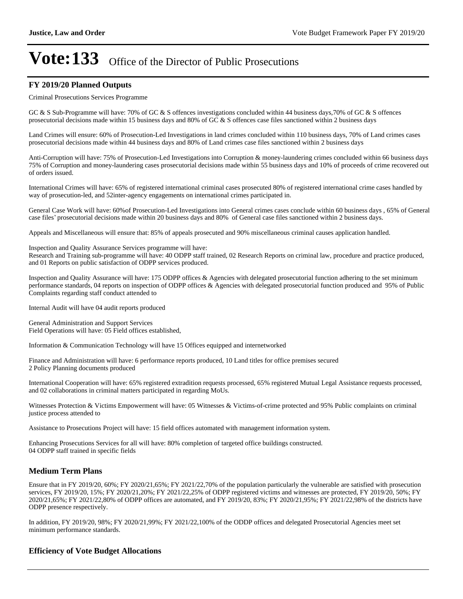#### **FY 2019/20 Planned Outputs**

#### Criminal Prosecutions Services Programme

GC & S Sub-Programme will have: 70% of GC & S offences investigations concluded within 44 business days,70% of GC & S offences prosecutorial decisions made within 15 business days and 80% of GC & S offences case files sanctioned within 2 business days

Land Crimes will ensure: 60% of Prosecution-Led Investigations in land crimes concluded within 110 business days, 70% of Land crimes cases prosecutorial decisions made within 44 business days and 80% of Land crimes case files sanctioned within 2 business days

Anti-Corruption will have: 75% of Prosecution-Led Investigations into Corruption & money-laundering crimes concluded within 66 business days 75% of Corruption and money-laundering cases prosecutorial decisions made within 55 business days and 10% of proceeds of crime recovered out of orders issued.

International Crimes will have: 65% of registered international criminal cases prosecuted 80% of registered international crime cases handled by way of prosecution-led, and 52inter-agency engagements on international crimes participated in.

General Case Work will have: 60%of Prosecution-Led Investigations into General crimes cases conclude within 60 business days , 65% of General case files' prosecutorial decisions made within 20 business days and 80% of General case files sanctioned within 2 business days.

Appeals and Miscellaneous will ensure that: 85% of appeals prosecuted and 90% miscellaneous criminal causes application handled.

Inspection and Quality Assurance Services programme will have: Research and Training sub-programme will have: 40 ODPP staff trained, 02 Research Reports on criminal law, procedure and practice produced, and 01 Reports on public satisfaction of ODPP services produced.

Inspection and Quality Assurance will have: 175 ODPP offices & Agencies with delegated prosecutorial function adhering to the set minimum performance standards, 04 reports on inspection of ODPP offices & Agencies with delegated prosecutorial function produced and 95% of Public Complaints regarding staff conduct attended to

Internal Audit will have 04 audit reports produced

General Administration and Support Services Field Operations will have: 05 Field offices established,

Information & Communication Technology will have 15 Offices equipped and internetworked

Finance and Administration will have: 6 performance reports produced, 10 Land titles for office premises secured 2 Policy Planning documents produced

International Cooperation will have: 65% registered extradition requests processed, 65% registered Mutual Legal Assistance requests processed, and 02 collaborations in criminal matters participated in regarding MoUs.

Witnesses Protection & Victims Empowerment will have: 05 Witnesses & Victims-of-crime protected and 95% Public complaints on criminal justice process attended to

Assistance to Prosecutions Project will have: 15 field offices automated with management information system.

Enhancing Prosecutions Services for all will have: 80% completion of targeted office buildings constructed. 04 ODPP staff trained in specific fields

#### **Medium Term Plans**

Ensure that in FY 2019/20, 60%; FY 2020/21,65%; FY 2021/22,70% of the population particularly the vulnerable are satisfied with prosecution services, FY 2019/20, 15%; FY 2020/21,20%; FY 2021/22,25% of ODPP registered victims and witnesses are protected, FY 2019/20, 50%; FY 2020/21,65%; FY 2021/22,80% of ODPP offices are automated, and FY 2019/20, 83%; FY 2020/21,95%; FY 2021/22,98% of the districts have ODPP presence respectively.

In addition, FY 2019/20, 98%; FY 2020/21,99%; FY 2021/22,100% of the ODDP offices and delegated Prosecutorial Agencies meet set minimum performance standards.

#### **Efficiency of Vote Budget Allocations**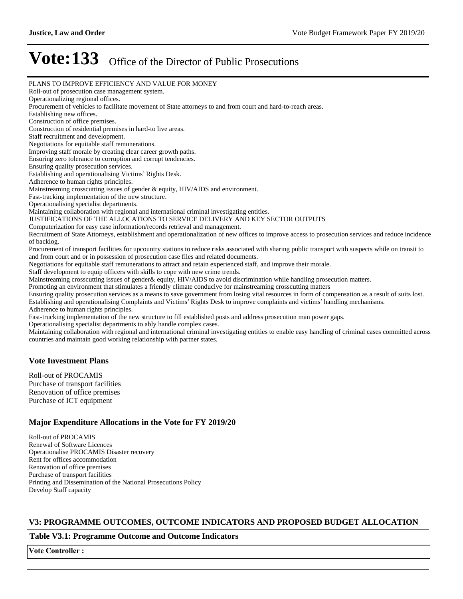PLANS TO IMPROVE EFFICIENCY AND VALUE FOR MONEY Roll-out of prosecution case management system. Operationalizing regional offices. Procurement of vehicles to facilitate movement of State attorneys to and from court and hard-to-reach areas. Establishing new offices. Construction of office premises. Construction of residential premises in hard-to live areas. Staff recruitment and development. Negotiations for equitable staff remunerations. Improving staff morale by creating clear career growth paths. Ensuring zero tolerance to corruption and corrupt tendencies. Ensuring quality prosecution services. Establishing and operationalising Victims' Rights Desk. Adherence to human rights principles. Mainstreaming crosscutting issues of gender & equity, HIV/AIDS and environment. Fast-tracking implementation of the new structure. Operationalising specialist departments. Maintaining collaboration with regional and international criminal investigating entities. JUSTIFICATIONS OF THE ALLOCATIONS TO SERVICE DELIVERY AND KEY SECTOR OUTPUTS Computerization for easy case information/records retrieval and management. Recruitment of State Attorneys, establishment and operationalization of new offices to improve access to prosecution services and reduce incidence of backlog. Procurement of transport facilities for upcountry stations to reduce risks associated with sharing public transport with suspects while on transit to and from court and or in possession of prosecution case files and related documents. Negotiations for equitable staff remunerations to attract and retain experienced staff, and improve their morale. Staff development to equip officers with skills to cope with new crime trends. Mainstreaming crosscutting issues of gender& equity, HIV/AIDS to avoid discrimination while handling prosecution matters. Promoting an environment that stimulates a friendly climate conducive for mainstreaming crosscutting matters Ensuring quality prosecution services as a means to save government from losing vital resources in form of compensation as a result of suits lost. Establishing and operationalising Complaints and Victims' Rights Desk to improve complaints and victims' handling mechanisms. Adherence to human rights principles. Fast-trucking implementation of the new structure to fill established posts and address prosecution man power gaps. Operationalising specialist departments to ably handle complex cases. Maintaining collaboration with regional and international criminal investigating entities to enable easy handling of criminal cases committed across countries and maintain good working relationship with partner states.

#### **Vote Investment Plans**

Roll-out of PROCAMIS Purchase of transport facilities Renovation of office premises Purchase of ICT equipment

#### **Major Expenditure Allocations in the Vote for FY 2019/20**

Roll-out of PROCAMIS Renewal of Software Licences Operationalise PROCAMIS Disaster recovery Rent for offices accommodation Renovation of office premises Purchase of transport facilities Printing and Dissemination of the National Prosecutions Policy Develop Staff capacity

#### **V3: PROGRAMME OUTCOMES, OUTCOME INDICATORS AND PROPOSED BUDGET ALLOCATION**

#### **Table V3.1: Programme Outcome and Outcome Indicators**

**Vote Controller :**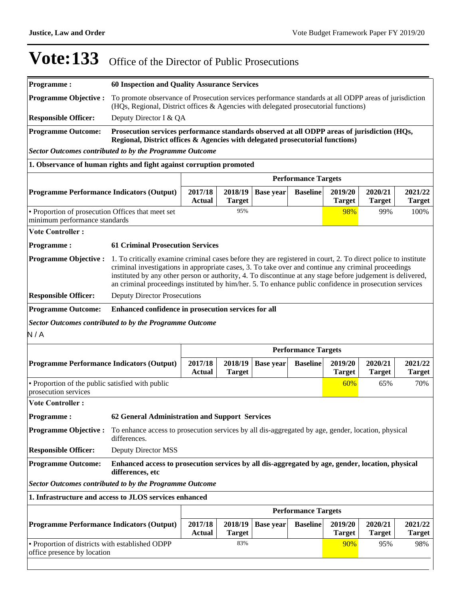| <b>Programme:</b>                                                                  | <b>60 Inspection and Quality Assurance Services</b>                                                                                                                                                                                                                                                                                                                                                                                          |                          |                                                     |                  |                            |                          |                          |                          |  |  |
|------------------------------------------------------------------------------------|----------------------------------------------------------------------------------------------------------------------------------------------------------------------------------------------------------------------------------------------------------------------------------------------------------------------------------------------------------------------------------------------------------------------------------------------|--------------------------|-----------------------------------------------------|------------------|----------------------------|--------------------------|--------------------------|--------------------------|--|--|
| <b>Programme Objective:</b>                                                        | To promote observance of Prosecution services performance standards at all ODPP areas of jurisdiction<br>(HQs, Regional, District offices & Agencies with delegated prosecutorial functions)                                                                                                                                                                                                                                                 |                          |                                                     |                  |                            |                          |                          |                          |  |  |
| <b>Responsible Officer:</b>                                                        | Deputy Director I & QA                                                                                                                                                                                                                                                                                                                                                                                                                       |                          |                                                     |                  |                            |                          |                          |                          |  |  |
| <b>Programme Outcome:</b>                                                          | Prosecution services performance standards observed at all ODPP areas of jurisdiction (HQs,<br>Regional, District offices & Agencies with delegated prosecutorial functions)                                                                                                                                                                                                                                                                 |                          |                                                     |                  |                            |                          |                          |                          |  |  |
| <b>Sector Outcomes contributed to by the Programme Outcome</b>                     |                                                                                                                                                                                                                                                                                                                                                                                                                                              |                          |                                                     |                  |                            |                          |                          |                          |  |  |
| 1. Observance of human rights and fight against corruption promoted                |                                                                                                                                                                                                                                                                                                                                                                                                                                              |                          |                                                     |                  |                            |                          |                          |                          |  |  |
|                                                                                    | <b>Performance Targets</b>                                                                                                                                                                                                                                                                                                                                                                                                                   |                          |                                                     |                  |                            |                          |                          |                          |  |  |
| <b>Programme Performance Indicators (Output)</b>                                   |                                                                                                                                                                                                                                                                                                                                                                                                                                              | 2017/18<br><b>Actual</b> | 2018/19<br><b>Target</b>                            | <b>Base year</b> | <b>Baseline</b>            | 2019/20<br><b>Target</b> | 2020/21<br><b>Target</b> | 2021/22<br><b>Target</b> |  |  |
| • Proportion of prosecution Offices that meet set<br>minimum performance standards |                                                                                                                                                                                                                                                                                                                                                                                                                                              |                          | 95%                                                 |                  |                            | 98%                      | 99%                      | 100%                     |  |  |
| <b>Vote Controller:</b>                                                            |                                                                                                                                                                                                                                                                                                                                                                                                                                              |                          |                                                     |                  |                            |                          |                          |                          |  |  |
| <b>Programme:</b>                                                                  | <b>61 Criminal Prosecution Services</b>                                                                                                                                                                                                                                                                                                                                                                                                      |                          |                                                     |                  |                            |                          |                          |                          |  |  |
| <b>Programme Objective:</b>                                                        | 1. To critically examine criminal cases before they are registered in court, 2. To direct police to institute<br>criminal investigations in appropriate cases, 3. To take over and continue any criminal proceedings<br>instituted by any other person or authority, 4. To discontinue at any stage before judgement is delivered,<br>an criminal proceedings instituted by him/her. 5. To enhance public confidence in prosecution services |                          |                                                     |                  |                            |                          |                          |                          |  |  |
| <b>Responsible Officer:</b>                                                        | <b>Deputy Director Prosecutions</b>                                                                                                                                                                                                                                                                                                                                                                                                          |                          |                                                     |                  |                            |                          |                          |                          |  |  |
| <b>Programme Outcome:</b>                                                          |                                                                                                                                                                                                                                                                                                                                                                                                                                              |                          | Enhanced confidence in prosecution services for all |                  |                            |                          |                          |                          |  |  |
| <b>Sector Outcomes contributed to by the Programme Outcome</b>                     |                                                                                                                                                                                                                                                                                                                                                                                                                                              |                          |                                                     |                  |                            |                          |                          |                          |  |  |
|                                                                                    |                                                                                                                                                                                                                                                                                                                                                                                                                                              |                          |                                                     |                  |                            |                          |                          |                          |  |  |
|                                                                                    |                                                                                                                                                                                                                                                                                                                                                                                                                                              |                          |                                                     |                  |                            |                          |                          |                          |  |  |
|                                                                                    |                                                                                                                                                                                                                                                                                                                                                                                                                                              |                          |                                                     |                  | <b>Performance Targets</b> |                          |                          |                          |  |  |
| N/A<br><b>Programme Performance Indicators (Output)</b>                            |                                                                                                                                                                                                                                                                                                                                                                                                                                              | 2017/18<br><b>Actual</b> | 2018/19<br><b>Target</b>                            | <b>Base year</b> | <b>Baseline</b>            | 2019/20<br><b>Target</b> | 2020/21<br><b>Target</b> | 2021/22<br><b>Target</b> |  |  |
| • Proportion of the public satisfied with public<br>prosecution services           |                                                                                                                                                                                                                                                                                                                                                                                                                                              |                          |                                                     |                  |                            | 60%                      | 65%                      | 70%                      |  |  |
| <b>Vote Controller:</b>                                                            |                                                                                                                                                                                                                                                                                                                                                                                                                                              |                          |                                                     |                  |                            |                          |                          |                          |  |  |
| Programme:                                                                         | 62 General Administration and Support Services                                                                                                                                                                                                                                                                                                                                                                                               |                          |                                                     |                  |                            |                          |                          |                          |  |  |
| <b>Programme Objective:</b>                                                        | To enhance access to prosecution services by all dis-aggregated by age, gender, location, physical<br>differences.                                                                                                                                                                                                                                                                                                                           |                          |                                                     |                  |                            |                          |                          |                          |  |  |
| <b>Responsible Officer:</b>                                                        | <b>Deputy Director MSS</b>                                                                                                                                                                                                                                                                                                                                                                                                                   |                          |                                                     |                  |                            |                          |                          |                          |  |  |
| <b>Programme Outcome:</b>                                                          | Enhanced access to prosecution services by all dis-aggregated by age, gender, location, physical<br>differences, etc                                                                                                                                                                                                                                                                                                                         |                          |                                                     |                  |                            |                          |                          |                          |  |  |
| <b>Sector Outcomes contributed to by the Programme Outcome</b>                     |                                                                                                                                                                                                                                                                                                                                                                                                                                              |                          |                                                     |                  |                            |                          |                          |                          |  |  |
| 1. Infrastructure and access to JLOS services enhanced                             |                                                                                                                                                                                                                                                                                                                                                                                                                                              |                          |                                                     |                  |                            |                          |                          |                          |  |  |
|                                                                                    |                                                                                                                                                                                                                                                                                                                                                                                                                                              |                          |                                                     |                  | <b>Performance Targets</b> |                          |                          |                          |  |  |
| <b>Programme Performance Indicators (Output)</b>                                   |                                                                                                                                                                                                                                                                                                                                                                                                                                              | 2017/18                  | 2018/19                                             | <b>Base year</b> | <b>Baseline</b>            | 2019/20                  | 2020/21                  | 2021/22                  |  |  |
|                                                                                    |                                                                                                                                                                                                                                                                                                                                                                                                                                              | <b>Actual</b>            | <b>Target</b>                                       |                  |                            | <b>Target</b>            | <b>Target</b>            | <b>Target</b>            |  |  |
| • Proportion of districts with established ODPP<br>office presence by location     |                                                                                                                                                                                                                                                                                                                                                                                                                                              |                          | 83%                                                 |                  |                            | 90%                      | 95%                      | 98%                      |  |  |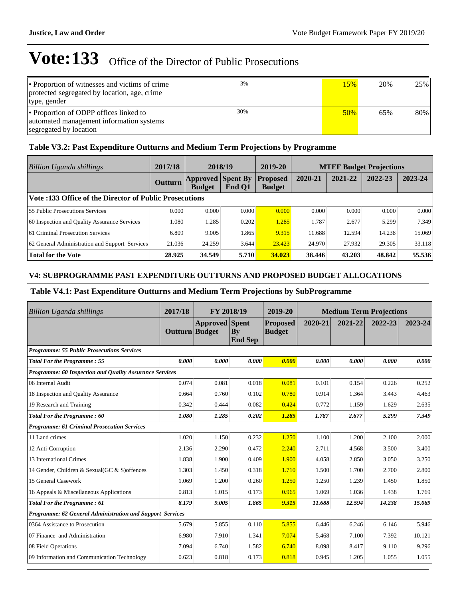| • Proportion of witnesses and victims of crime<br>protected segregated by location, age, crime<br>type, gender | 3%  | 15% | 20% | 25% |
|----------------------------------------------------------------------------------------------------------------|-----|-----|-----|-----|
| • Proportion of ODPP offices linked to<br>automated management information systems<br>segregated by location   | 30% | 50% | 65% | 80% |

#### **Table V3.2: Past Expenditure Outturns and Medium Term Projections by Programme**

| Billion Uganda shillings                                | 2017/18        | 2018/19                                   |        | 2019-20                          | <b>MTEF Budget Projections</b> |         |         |         |
|---------------------------------------------------------|----------------|-------------------------------------------|--------|----------------------------------|--------------------------------|---------|---------|---------|
|                                                         | <b>Outturn</b> | <b>Approved Spent By</b><br><b>Budget</b> | End Q1 | <b>Proposed</b><br><b>Budget</b> | 2020-21                        | 2021-22 | 2022-23 | 2023-24 |
| Vote :133 Office of the Director of Public Prosecutions |                |                                           |        |                                  |                                |         |         |         |
| <b>55 Public Prosecutions Services</b>                  | 0.000          | 0.000                                     | 0.000  | 0.000                            | 0.000                          | 0.000   | 0.000   | 0.000   |
| 60 Inspection and Quality Assurance Services            | 1.080          | 1.285                                     | 0.202  | 1.285                            | 1.787                          | 2.677   | 5.299   | 7.349   |
| 61 Criminal Prosecution Services                        | 6.809          | 9.005                                     | 1.865  | 9.315                            | 11.688                         | 12.594  | 14.238  | 15.069  |
| 62 General Administration and Support Services          | 21.036         | 24.259                                    | 3.644  | 23.423                           | 24.970                         | 27.932  | 29.305  | 33.118  |
| <b>Total for the Vote</b>                               | 28.925         | 34.549                                    | 5.710  | 34.023                           | 38.446                         | 43.203  | 48.842  | 55.536  |

#### **V4: SUBPROGRAMME PAST EXPENDITURE OUTTURNS AND PROPOSED BUDGET ALLOCATIONS**

#### **Table V4.1: Past Expenditure Outturns and Medium Term Projections by SubProgramme**

| <b>Billion Uganda shillings</b>                           | 2017/18          | FY 2018/19            |                      | 2019-20                          | <b>Medium Term Projections</b> |         |         |         |
|-----------------------------------------------------------|------------------|-----------------------|----------------------|----------------------------------|--------------------------------|---------|---------|---------|
|                                                           | Outturn   Budget | <b>Approved</b> Spent | By<br><b>End Sep</b> | <b>Proposed</b><br><b>Budget</b> | 2020-21                        | 2021-22 | 2022-23 | 2023-24 |
| <b>Programme: 55 Public Prosecutions Services</b>         |                  |                       |                      |                                  |                                |         |         |         |
| <b>Total For the Programme: 55</b>                        | 0.000            | 0.000                 | 0.000                | 0.000                            | 0.000                          | 0.000   | 0.000   | 0.000   |
| Programme: 60 Inspection and Quality Assurance Services   |                  |                       |                      |                                  |                                |         |         |         |
| 06 Internal Audit                                         | 0.074            | 0.081                 | 0.018                | 0.081                            | 0.101                          | 0.154   | 0.226   | 0.252   |
| 18 Inspection and Quality Assurance                       | 0.664            | 0.760                 | 0.102                | 0.780                            | 0.914                          | 1.364   | 3.443   | 4.463   |
| 19 Research and Training                                  | 0.342            | 0.444                 | 0.082                | 0.424                            | 0.772                          | 1.159   | 1.629   | 2.635   |
| Total For the Programme: 60                               | 1.080            | 1.285                 | 0.202                | 1.285                            | 1.787                          | 2.677   | 5.299   | 7.349   |
| <b>Programme: 61 Criminal Prosecution Services</b>        |                  |                       |                      |                                  |                                |         |         |         |
| 11 Land crimes                                            | 1.020            | 1.150                 | 0.232                | 1.250                            | 1.100                          | 1.200   | 2.100   | 2.000   |
| 12 Anti-Corruption                                        | 2.136            | 2.290                 | 0.472                | 2.240                            | 2.711                          | 4.568   | 3.500   | 3.400   |
| 13 International Crimes                                   | 1.838            | 1.900                 | 0.409                | 1.900                            | 4.058                          | 2.850   | 3.050   | 3.250   |
| 14 Gender, Children & Sexual(GC & S) offences             | 1.303            | 1.450                 | 0.318                | 1.710                            | 1.500                          | 1.700   | 2.700   | 2.800   |
| 15 General Casework                                       | 1.069            | 1.200                 | 0.260                | 1.250                            | 1.250                          | 1.239   | 1.450   | 1.850   |
| 16 Appeals & Miscellaneous Applications                   | 0.813            | 1.015                 | 0.173                | 0.965                            | 1.069                          | 1.036   | 1.438   | 1.769   |
| <b>Total For the Programme: 61</b>                        | 8.179            | 9.005                 | 1.865                | 9.315                            | 11.688                         | 12.594  | 14.238  | 15.069  |
| Programme: 62 General Administration and Support Services |                  |                       |                      |                                  |                                |         |         |         |
| 0364 Assistance to Prosecution                            | 5.679            | 5.855                 | 0.110                | 5.855                            | 6.446                          | 6.246   | 6.146   | 5.946   |
| 07 Finance and Administration                             | 6.980            | 7.910                 | 1.341                | 7.074                            | 5.468                          | 7.100   | 7.392   | 10.121  |
| 08 Field Operations                                       | 7.094            | 6.740                 | 1.582                | 6.740                            | 8.098                          | 8.417   | 9.110   | 9.296   |
| 09 Information and Communication Technology               | 0.623            | 0.818                 | 0.173                | 0.818                            | 0.945                          | 1.205   | 1.055   | 1.055   |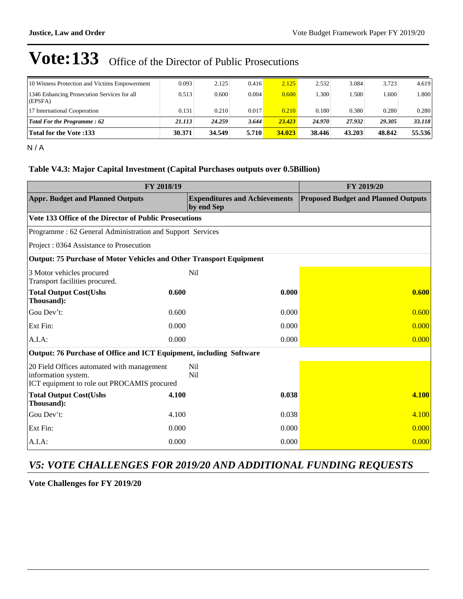| 10 Witness Protection and Victims Empowerment          | 0.093  | 2.125  | 0.416 | 2.125  | 2.532  | 3.084  | 3.723  | 4.619    |
|--------------------------------------------------------|--------|--------|-------|--------|--------|--------|--------|----------|
| 1346 Enhancing Prosecution Services for all<br>(EPSFA) | 0.513  | 0.600  | 0.004 | 0.600  | .300   | 1.500  | .600   | ا 800. ا |
| 17 International Cooperation                           | 0.131  | 0.210  | 0.017 | 0.210  | 0.180  | 0.380  | 0.280  | 0.280    |
| <b>Total For the Programme: 62</b>                     | 21.113 | 24.259 | 3.644 | 23.423 | 24.970 | 27.932 | 29.305 | 33.118   |
| <b>Total for the Vote :133</b>                         | 30.371 | 34.549 | 5.710 | 34.023 | 38.446 | 43.203 | 48.842 | 55.536   |

N / A

#### **Table V4.3: Major Capital Investment (Capital Purchases outputs over 0.5Billion)**

|                                                                                                                  | FY 2019/20 |                                                    |                                            |
|------------------------------------------------------------------------------------------------------------------|------------|----------------------------------------------------|--------------------------------------------|
| <b>Appr. Budget and Planned Outputs</b>                                                                          |            | <b>Expenditures and Achievements</b><br>by end Sep | <b>Proposed Budget and Planned Outputs</b> |
| Vote 133 Office of the Director of Public Prosecutions                                                           |            |                                                    |                                            |
| Programme: 62 General Administration and Support Services                                                        |            |                                                    |                                            |
| Project: 0364 Assistance to Prosecution                                                                          |            |                                                    |                                            |
| <b>Output: 75 Purchase of Motor Vehicles and Other Transport Equipment</b>                                       |            |                                                    |                                            |
| 3 Motor vehicles procured<br>Transport facilities procured.                                                      |            | <b>Nil</b>                                         |                                            |
| <b>Total Output Cost(Ushs</b><br>Thousand):                                                                      | 0.600      | 0.000                                              | 0.600                                      |
| Gou Dev't:                                                                                                       | 0.600      | 0.000                                              | 0.600                                      |
| Ext Fin:                                                                                                         | 0.000      | 0.000                                              | 0.000                                      |
| A.I.A:                                                                                                           | 0.000      | 0.000                                              | 0.000                                      |
| Output: 76 Purchase of Office and ICT Equipment, including Software                                              |            |                                                    |                                            |
| 20 Field Offices automated with management<br>information system.<br>ICT equipment to role out PROCAMIS procured |            | <b>Nil</b><br>N <sub>il</sub>                      |                                            |
| <b>Total Output Cost(Ushs</b><br>Thousand):                                                                      | 4.100      | 0.038                                              | 4.100                                      |
| Gou Dev't:                                                                                                       | 4.100      | 0.038                                              | 4.100                                      |
| Ext Fin:                                                                                                         | 0.000      | 0.000                                              | 0.000                                      |
| A.I.A:                                                                                                           | 0.000      | 0.000                                              | 0.000                                      |

### *V5: VOTE CHALLENGES FOR 2019/20 AND ADDITIONAL FUNDING REQUESTS*

**Vote Challenges for FY 2019/20**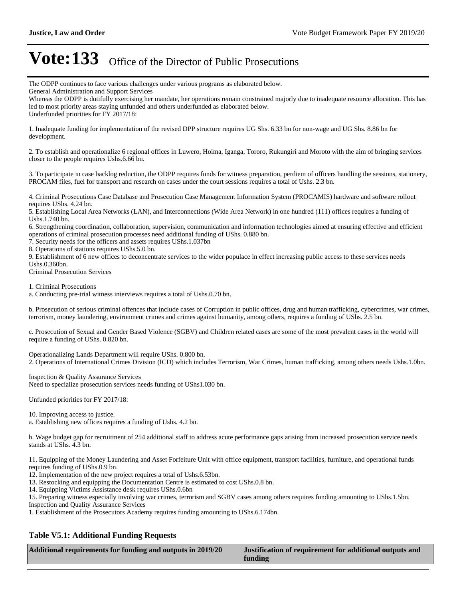The ODPP continues to face various challenges under various programs as elaborated below.

General Administration and Support Services

Whereas the ODPP is dutifully exercising her mandate, her operations remain constrained majorly due to inadequate resource allocation. This has led to most priority areas staying unfunded and others underfunded as elaborated below. Underfunded priorities for FY 2017/18:

1. Inadequate funding for implementation of the revised DPP structure requires UG Shs. 6.33 bn for non-wage and UG Shs. 8.86 bn for development.

2. To establish and operationalize 6 regional offices in Luwero, Hoima, Iganga, Tororo, Rukungiri and Moroto with the aim of bringing services closer to the people requires Ushs.6.66 bn.

3. To participate in case backlog reduction, the ODPP requires funds for witness preparation, perdiem of officers handling the sessions, stationery, PROCAM files, fuel for transport and research on cases under the court sessions requires a total of Ushs. 2.3 bn.

4. Criminal Prosecutions Case Database and Prosecution Case Management Information System (PROCAMIS) hardware and software rollout requires UShs. 4.24 bn.

5. Establishing Local Area Networks (LAN), and Interconnections (Wide Area Network) in one hundred (111) offices requires a funding of Ushs.1.740 bn.

6. Strengthening coordination, collaboration, supervision, communication and information technologies aimed at ensuring effective and efficient operations of criminal prosecution processes need additional funding of UShs. 0.880 bn.

7. Security needs for the officers and assets requires UShs.1.037bn

8. Operations of stations requires UShs.5.0 bn.

9. Establishment of 6 new offices to deconcentrate services to the wider populace in effect increasing public access to these services needs Ushs.0.360bn.

Criminal Prosecution Services

1. Criminal Prosecutions

a. Conducting pre-trial witness interviews requires a total of Ushs.0.70 bn.

b. Prosecution of serious criminal offences that include cases of Corruption in public offices, drug and human trafficking, cybercrimes, war crimes, terrorism, money laundering, environment crimes and crimes against humanity, among others, requires a funding of UShs. 2.5 bn.

c. Prosecution of Sexual and Gender Based Violence (SGBV) and Children related cases are some of the most prevalent cases in the world will require a funding of UShs. 0.820 bn.

Operationalizing Lands Department will require UShs. 0.800 bn. 2. Operations of International Crimes Division (ICD) which includes Terrorism, War Crimes, human trafficking, among others needs Ushs.1.0bn.

Inspection & Quality Assurance Services Need to specialize prosecution services needs funding of UShs1.030 bn.

Unfunded priorities for FY 2017/18:

10. Improving access to justice.

a. Establishing new offices requires a funding of Ushs. 4.2 bn.

b. Wage budget gap for recruitment of 254 additional staff to address acute performance gaps arising from increased prosecution service needs stands at UShs. 4.3 bn.

11. Equipping of the Money Laundering and Asset Forfeiture Unit with office equipment, transport facilities, furniture, and operational funds requires funding of UShs.0.9 bn.

12. Implementation of the new project requires a total of Ushs.6.53bn.

13. Restocking and equipping the Documentation Centre is estimated to cost UShs.0.8 bn.

14. Equipping Victims Assistance desk requires UShs.0.6bn

15. Preparing witness especially involving war crimes, terrorism and SGBV cases among others requires funding amounting to UShs.1.5bn. Inspection and Quality Assurance Services

1. Establishment of the Prosecutors Academy requires funding amounting to UShs.6.174bn.

#### **Table V5.1: Additional Funding Requests**

**Additional requirements for funding and outputs in 2019/20 Justification of requirement for additional outputs and** 

**funding**